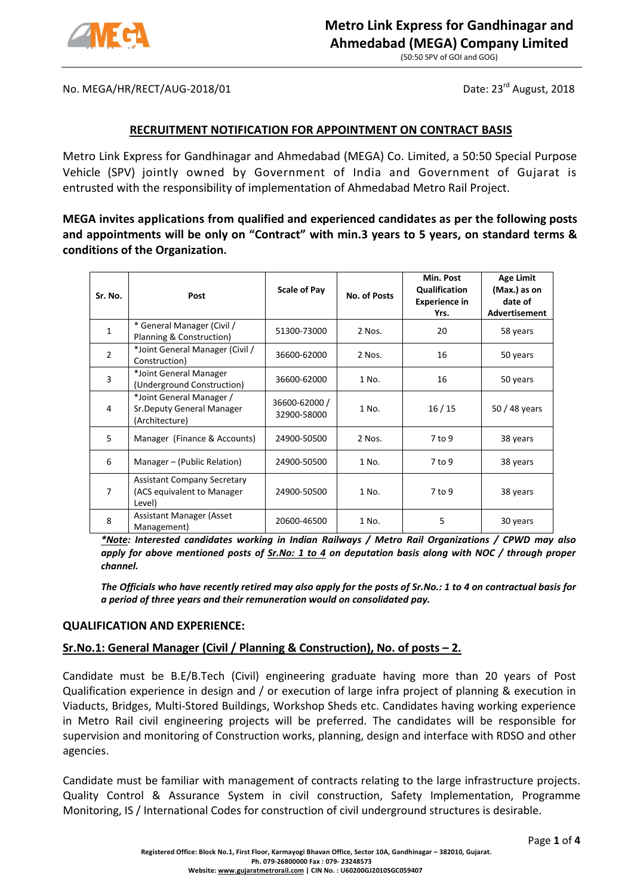

(50:50 SPV of GOI and GOG)

No. MEGA/HR/RECT/AUG-2018/01 Date: 23<sup>rd</sup> August, 2018

## **RECRUITMENT NOTIFICATION FOR APPOINTMENT ON CONTRACT BASIS**

Metro Link Express for Gandhinagar and Ahmedabad (MEGA) Co. Limited, a 50:50 Special Purpose Vehicle (SPV) jointly owned by Government of India and Government of Gujarat is entrusted with the responsibility of implementation of Ahmedabad Metro Rail Project.

**MEGA invites applications from qualified and experienced candidates as per the following posts and appointments will be only on "Contract" with min.3 years to 5 years, on standard terms & conditions of the Organization.**

| Sr. No.        | Post                                                                       | <b>Scale of Pay</b>          | No. of Posts | Min. Post<br>Qualification<br><b>Experience in</b><br>Yrs. | <b>Age Limit</b><br>(Max.) as on<br>date of<br><b>Advertisement</b> |
|----------------|----------------------------------------------------------------------------|------------------------------|--------------|------------------------------------------------------------|---------------------------------------------------------------------|
| $\mathbf{1}$   | * General Manager (Civil /<br>Planning & Construction)                     | 51300-73000                  | 2 Nos.       | 20                                                         | 58 years                                                            |
| $\overline{2}$ | *Joint General Manager (Civil /<br>Construction)                           | 36600-62000                  | 2 Nos.       | 16                                                         | 50 years                                                            |
| $\overline{3}$ | *Joint General Manager<br>(Underground Construction)                       | 36600-62000                  | 1 No.        | 16                                                         | 50 years                                                            |
| 4              | *Joint General Manager /<br>Sr. Deputy General Manager<br>(Architecture)   | 36600-62000 /<br>32900-58000 | 1 No.        | 16/15                                                      | 50 / 48 years                                                       |
| 5              | Manager (Finance & Accounts)                                               | 24900-50500                  | 2 Nos.       | $7$ to 9                                                   | 38 years                                                            |
| 6              | Manager - (Public Relation)                                                | 24900-50500                  | 1 No.        | $7$ to 9                                                   | 38 years                                                            |
| $\overline{7}$ | <b>Assistant Company Secretary</b><br>(ACS equivalent to Manager<br>Level) | 24900-50500                  | 1 No.        | 7 to 9                                                     | 38 years                                                            |
| 8              | <b>Assistant Manager (Asset</b> )<br>Management)                           | 20600-46500                  | 1 No.        | 5                                                          | 30 years                                                            |

*\*Note: Interested candidates working in Indian Railways / Metro Rail Organizations / CPWD may also apply for above mentioned posts of Sr.No: 1 to 4 on deputation basis along with NOC / through proper channel.*

*The Officials who have recently retired may also apply for the posts of Sr.No.: 1 to 4 on contractual basis for a period of three years and their remuneration would on consolidated pay.*

## **QUALIFICATION AND EXPERIENCE:**

## **Sr.No.1: General Manager (Civil / Planning & Construction), No. of posts – 2.**

Candidate must be B.E/B.Tech (Civil) engineering graduate having more than 20 years of Post Qualification experience in design and / or execution of large infra project of planning & execution in Viaducts, Bridges, Multi-Stored Buildings, Workshop Sheds etc. Candidates having working experience in Metro Rail civil engineering projects will be preferred. The candidates will be responsible for supervision and monitoring of Construction works, planning, design and interface with RDSO and other agencies.

Candidate must be familiar with management of contracts relating to the large infrastructure projects. Quality Control & Assurance System in civil construction, Safety Implementation, Programme Monitoring, IS / International Codes for construction of civil underground structures is desirable.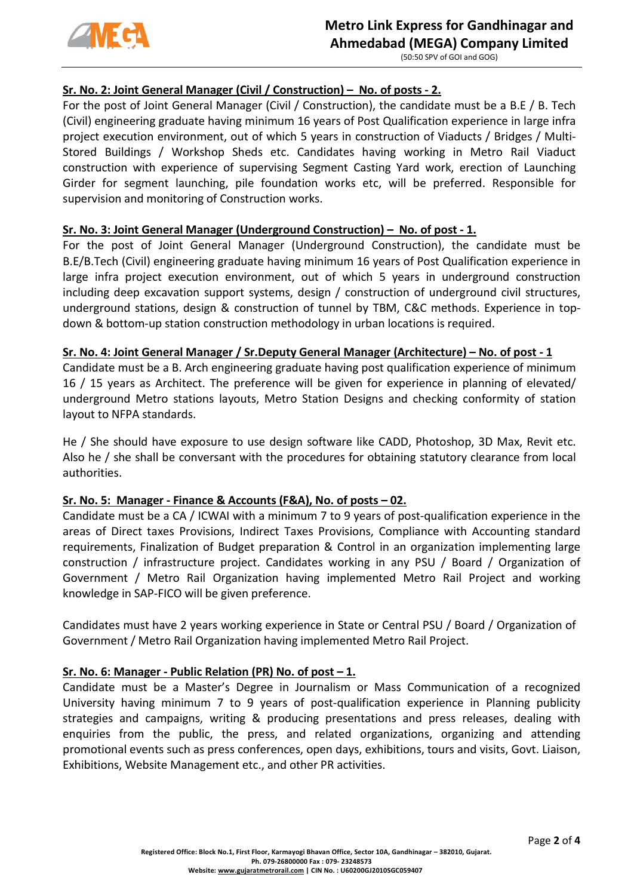

# **Metro Link Express for Gandhinagar and Ahmedabad (MEGA) Company Limited**

(50:50 SPV of GOI and GOG)

# **Sr. No. 2: Joint General Manager (Civil / Construction) – No. of posts - 2.**

For the post of Joint General Manager (Civil / Construction), the candidate must be a B.E / B. Tech (Civil) engineering graduate having minimum 16 years of Post Qualification experience in large infra project execution environment, out of which 5 years in construction of Viaducts / Bridges / Multi-Stored Buildings / Workshop Sheds etc. Candidates having working in Metro Rail Viaduct construction with experience of supervising Segment Casting Yard work, erection of Launching Girder for segment launching, pile foundation works etc, will be preferred. Responsible for supervision and monitoring of Construction works.

## **Sr. No. 3: Joint General Manager (Underground Construction) – No. of post - 1.**

For the post of Joint General Manager (Underground Construction), the candidate must be B.E/B.Tech (Civil) engineering graduate having minimum 16 years of Post Qualification experience in large infra project execution environment, out of which 5 years in underground construction including deep excavation support systems, design / construction of underground civil structures, underground stations, design & construction of tunnel by TBM, C&C methods. Experience in topdown & bottom-up station construction methodology in urban locations is required.

# **Sr. No. 4: Joint General Manager / Sr.Deputy General Manager (Architecture) – No. of post - 1**

Candidate must be a B. Arch engineering graduate having post qualification experience of minimum 16 / 15 years as Architect. The preference will be given for experience in planning of elevated/ underground Metro stations layouts, Metro Station Designs and checking conformity of station layout to NFPA standards.

He / She should have exposure to use design software like CADD, Photoshop, 3D Max, Revit etc. Also he / she shall be conversant with the procedures for obtaining statutory clearance from local authorities.

## **Sr. No. 5: Manager - Finance & Accounts (F&A), No. of posts – 02.**

Candidate must be a CA / ICWAI with a minimum 7 to 9 years of post-qualification experience in the areas of Direct taxes Provisions, Indirect Taxes Provisions, Compliance with Accounting standard requirements, Finalization of Budget preparation & Control in an organization implementing large construction / infrastructure project. Candidates working in any PSU / Board / Organization of Government / Metro Rail Organization having implemented Metro Rail Project and working knowledge in SAP-FICO will be given preference.

Candidates must have 2 years working experience in State or Central PSU / Board / Organization of Government / Metro Rail Organization having implemented Metro Rail Project.

## **Sr. No. 6: Manager - Public Relation (PR) No. of post – 1.**

Candidate must be a Master's Degree in Journalism or Mass Communication of a recognized University having minimum 7 to 9 years of post-qualification experience in Planning publicity strategies and campaigns, writing & producing presentations and press releases, dealing with enquiries from the public, the press, and related organizations, organizing and attending promotional events such as press conferences, open days, exhibitions, tours and visits, Govt. Liaison, Exhibitions, Website Management etc., and other PR activities.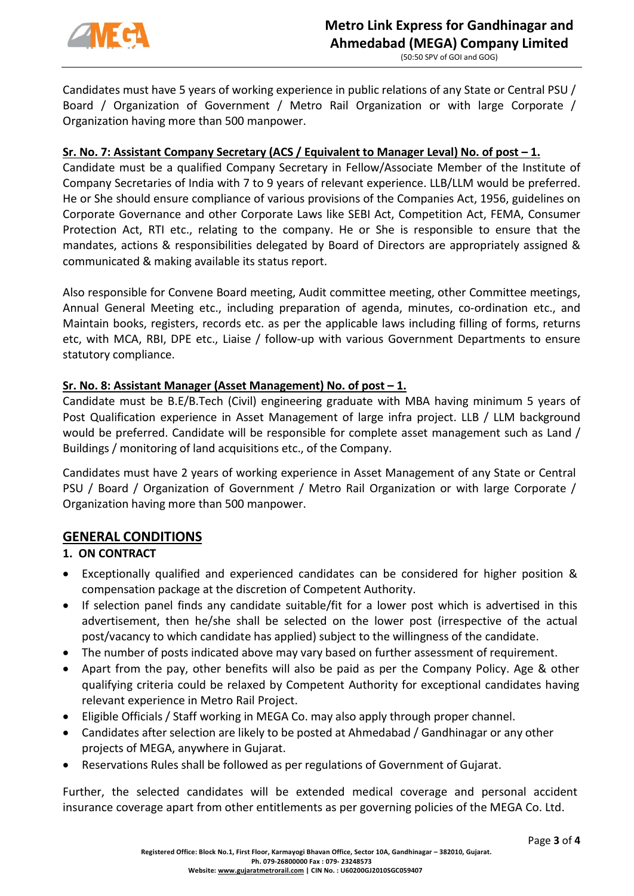

(50:50 SPV of GOI and GOG)

Candidates must have 5 years of working experience in public relations of any State or Central PSU / Board / Organization of Government / Metro Rail Organization or with large Corporate / Organization having more than 500 manpower.

# **Sr. No. 7: Assistant Company Secretary (ACS / Equivalent to Manager Leval) No. of post – 1.**

Candidate must be a qualified Company Secretary in Fellow/Associate Member of the Institute of Company Secretaries of India with 7 to 9 years of relevant experience. LLB/LLM would be preferred. He or She should ensure compliance of various provisions of the Companies Act, 1956, guidelines on Corporate Governance and other Corporate Laws like SEBI Act, Competition Act, FEMA, Consumer Protection Act, RTI etc., relating to the company. He or She is responsible to ensure that the mandates, actions & responsibilities delegated by Board of Directors are appropriately assigned & communicated & making available its status report.

Also responsible for Convene Board meeting, Audit committee meeting, other Committee meetings, Annual General Meeting etc., including preparation of agenda, minutes, co-ordination etc., and Maintain books, registers, records etc. as per the applicable laws including filling of forms, returns etc, with MCA, RBI, DPE etc., Liaise / follow-up with various Government Departments to ensure statutory compliance.

## **Sr. No. 8: Assistant Manager (Asset Management) No. of post – 1.**

Candidate must be B.E/B.Tech (Civil) engineering graduate with MBA having minimum 5 years of Post Qualification experience in Asset Management of large infra project. LLB / LLM background would be preferred. Candidate will be responsible for complete asset management such as Land / Buildings / monitoring of land acquisitions etc., of the Company.

Candidates must have 2 years of working experience in Asset Management of any State or Central PSU / Board / Organization of Government / Metro Rail Organization or with large Corporate / Organization having more than 500 manpower.

# **GENERAL CONDITIONS**

## **1. ON CONTRACT**

- Exceptionally qualified and experienced candidates can be considered for higher position & compensation package at the discretion of Competent Authority.
- If selection panel finds any candidate suitable/fit for a lower post which is advertised in this advertisement, then he/she shall be selected on the lower post (irrespective of the actual post/vacancy to which candidate has applied) subject to the willingness of the candidate.
- The number of posts indicated above may vary based on further assessment of requirement.
- Apart from the pay, other benefits will also be paid as per the Company Policy. Age & other qualifying criteria could be relaxed by Competent Authority for exceptional candidates having relevant experience in Metro Rail Project.
- Eligible Officials / Staff working in MEGA Co. may also apply through proper channel.
- Candidates after selection are likely to be posted at Ahmedabad / Gandhinagar or any other projects of MEGA, anywhere in Gujarat.
- Reservations Rules shall be followed as per regulations of Government of Gujarat.

Further, the selected candidates will be extended medical coverage and personal accident insurance coverage apart from other entitlements as per governing policies of the MEGA Co. Ltd.